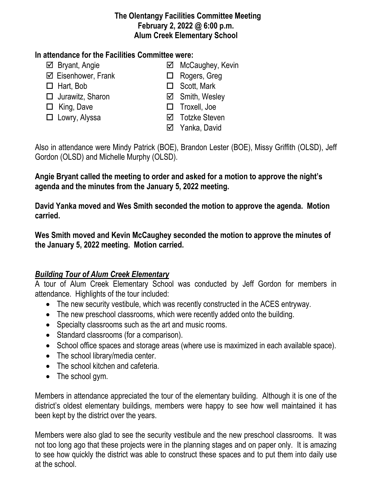#### **The Olentangy Facilities Committee Meeting February 2, 2022 @ 6:00 p.m. Alum Creek Elementary School**

### **In attendance for the Facilities Committee were:**

- 
- $\boxtimes$  Eisenhower, Frank  $\Box$  Rogers, Greg
- 
- $\Box$  Jurawitz, Sharon  $\Box$  Smith, Wesley
- 
- 
- $\boxtimes$  Bryant, Angie **MacCaughey, Kevin** 
	-
- □ Hart, Bob □ Scott, Mark
	-
- □ King, Dave <br>□ Troxell, Joe
- □ Lowry, Alyssa <br>
□ Cowry, Alyssa <br>
□ Totzke Steven
	- **⊠** Yanka, David

Also in attendance were Mindy Patrick (BOE), Brandon Lester (BOE), Missy Griffith (OLSD), Jeff Gordon (OLSD) and Michelle Murphy (OLSD).

**Angie Bryant called the meeting to order and asked for a motion to approve the night's agenda and the minutes from the January 5, 2022 meeting.**

**David Yanka moved and Wes Smith seconded the motion to approve the agenda. Motion carried.**

**Wes Smith moved and Kevin McCaughey seconded the motion to approve the minutes of the January 5, 2022 meeting. Motion carried.**

## *Building Tour of Alum Creek Elementary*

A tour of Alum Creek Elementary School was conducted by Jeff Gordon for members in attendance. Highlights of the tour included:

- The new security vestibule, which was recently constructed in the ACES entryway.
- The new preschool classrooms, which were recently added onto the building.
- Specialty classrooms such as the art and music rooms.
- Standard classrooms (for a comparison).
- School office spaces and storage areas (where use is maximized in each available space).
- The school library/media center.
- The school kitchen and cafeteria.
- The school gym.

Members in attendance appreciated the tour of the elementary building. Although it is one of the district's oldest elementary buildings, members were happy to see how well maintained it has been kept by the district over the years.

Members were also glad to see the security vestibule and the new preschool classrooms. It was not too long ago that these projects were in the planning stages and on paper only. It is amazing to see how quickly the district was able to construct these spaces and to put them into daily use at the school.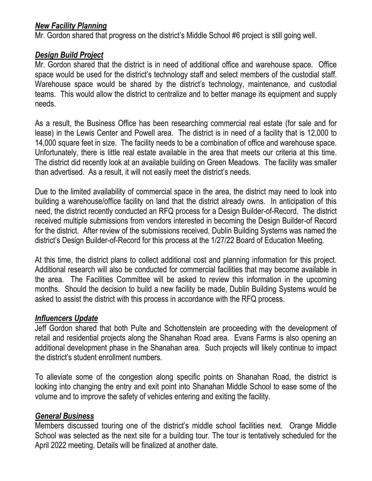#### *New Facility Planning*

Mr. Gordon shared that progress on the district's Middle School #6 project is still going well.

## *Design Build Project*

Mr. Gordon shared that the district is in need of additional office and warehouse space. Office space would be used for the district's technology staff and select members of the custodial staff. Warehouse space would be shared by the district's technology, maintenance, and custodial teams. This would allow the district to centralize and to better manage its equipment and supply needs.

As a result, the Business Office has been researching commercial real estate (for sale and for lease) in the Lewis Center and Powell area. The district is in need of a facility that is 12,000 to 14,000 square feet in size. The facility needs to be a combination of office and warehouse space. Unfortunately, there is little real estate available in the area that meets our criteria at this time. The district did recently look at an available building on Green Meadows. The facility was smaller than advertised. As a result, it will not easily meet the district's needs.

Due to the limited availability of commercial space in the area, the district may need to look into building a warehouse/office facility on land that the district already owns. In anticipation of this need, the district recently conducted an RFQ process for a Design Builder-of-Record. The district received multiple submissions from vendors interested in becoming the Design Builder-of Record for the district. After review of the submissions received, Dublin Building Systems was named the district's Design Builder-of-Record for this process at the 1/27/22 Board of Education Meeting.

At this time, the district plans to collect additional cost and planning information for this project. Additional research will also be conducted for commercial facilities that may become available in the area. The Facilities Committee will be asked to review this information in the upcoming months. Should the decision to build a new facility be made, Dublin Building Systems would be asked to assist the district with this process in accordance with the RFQ process.

## *Influencers Update*

Jeff Gordon shared that both Pulte and Schottenstein are proceeding with the development of retail and residential projects along the Shanahan Road area. Evans Farms is also opening an additional development phase in the Shanahan area. Such projects will likely continue to impact the district's student enrollment numbers.

To alleviate some of the congestion along specific points on Shanahan Road, the district is looking into changing the entry and exit point into Shanahan Middle School to ease some of the volume and to improve the safety of vehicles entering and exiting the facility.

## *General Business*

Members discussed touring one of the district's middle school facilities next. Orange Middle School was selected as the next site for a building tour. The tour is tentatively scheduled for the April 2022 meeting. Details will be finalized at another date.